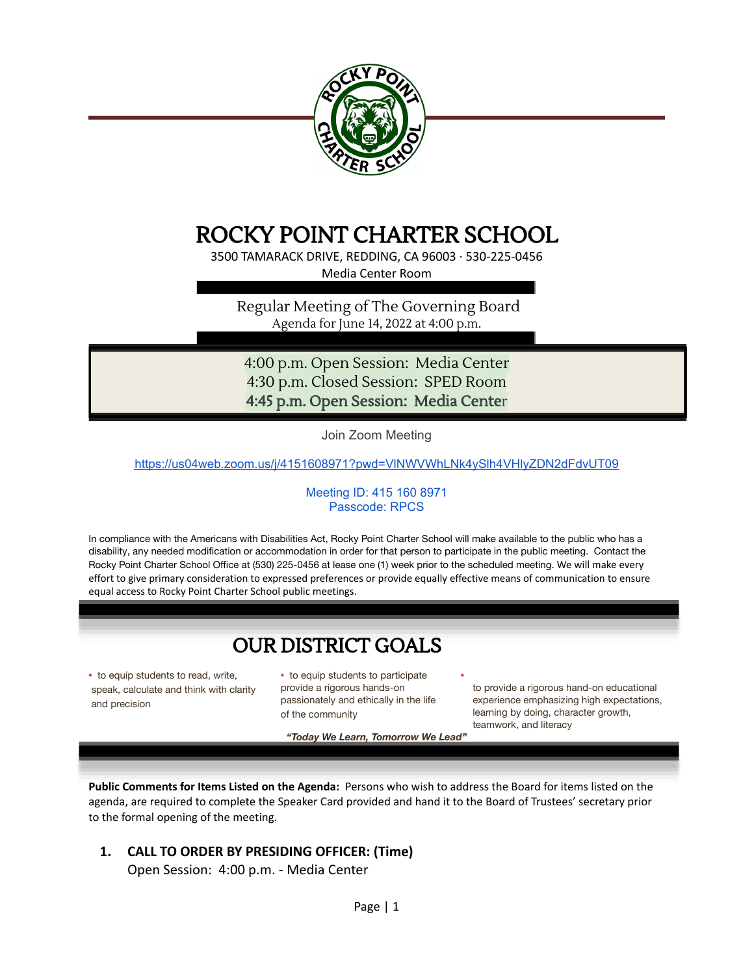

# ROCKY POINT CHARTER SCHOOL

3500 TAMARACK DRIVE, REDDING, CA 96003 · 530-225-0456 Media Center Room

Regular Meeting of The Governing Board Agenda for June 14, 2022 at 4:00 p.m.

4:00 p.m. Open Session: Media Center 4:30 p.m. Closed Session: SPED Room 4:45 p.m. Open Session: Media Center

Join Zoom Meeting

<https://us04web.zoom.us/j/4151608971?pwd=VlNWVWhLNk4ySlh4VHlyZDN2dFdvUT09>

#### Meeting ID: 415 160 8971 Passcode: RPCS

In compliance with the Americans with Disabilities Act, Rocky Point Charter School will make available to the public who has a disability, any needed modification or accommodation in order for that person to participate in the public meeting. Contact the Rocky Point Charter School Office at (530) 225-0456 at lease one (1) week prior to the scheduled meeting. We will make every effort to give primary consideration to expressed preferences or provide equally effective means of communication to ensure equal access to Rocky Point Charter School public meetings.

## **OUR DISTRICT GOALS**

**•** to equip students to read, write, speak, calculate and think with clarity and precision

**•** to equip students to participate **•** provide a rigorous hands-on passionately and ethically in the life of the community

*"Today We Learn, Tomorrow We Lead"*

to provide a rigorous hand-on educational experience emphasizing high expectations, learning by doing, character growth, teamwork, and literacy

**Public Comments for Items Listed on the Agenda:** Persons who wish to address the Board for items listed on the agenda, are required to complete the Speaker Card provided and hand it to the Board of Trustees' secretary prior to the formal opening of the meeting.

**1. CALL TO ORDER BY PRESIDING OFFICER: (Time)**

Open Session: 4:00 p.m. - Media Center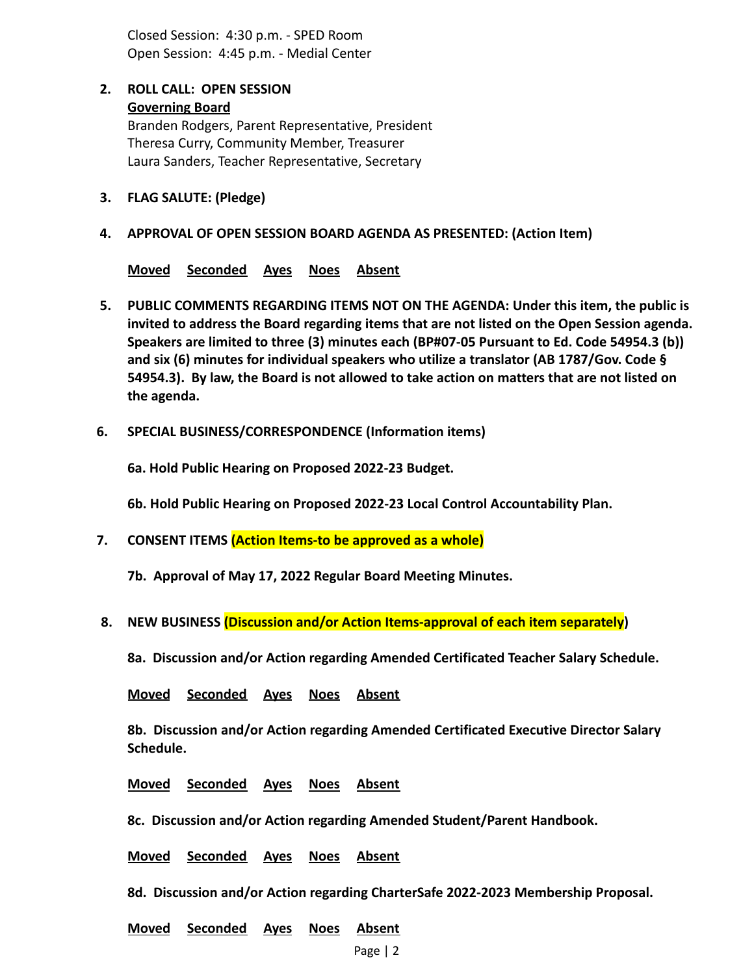Closed Session: 4:30 p.m. - SPED Room Open Session: 4:45 p.m. - Medial Center

## **2. ROLL CALL: OPEN SESSION Governing Board**

Branden Rodgers, Parent Representative, President Theresa Curry, Community Member, Treasurer Laura Sanders, Teacher Representative, Secretary

- **3. FLAG SALUTE: (Pledge)**
- **4. APPROVAL OF OPEN SESSION BOARD AGENDA AS PRESENTED: (Action Item)**

**Moved Seconded Ayes Noes Absent**

- **5. PUBLIC COMMENTS REGARDING ITEMS NOT ON THE AGENDA: Under this item, the public is invited to address the Board regarding items that are not listed on the Open Session agenda. Speakers are limited to three (3) minutes each (BP#07-05 Pursuant to Ed. Code 54954.3 (b)) and six (6) minutes for individual speakers who utilize a translator (AB 1787/Gov. Code § 54954.3). By law, the Board is not allowed to take action on matters that are not listed on the agenda.**
- **6. SPECIAL BUSINESS/CORRESPONDENCE (Information items)**

**6a. Hold Public Hearing on Proposed 2022-23 Budget.**

**6b. Hold Public Hearing on Proposed 2022-23 Local Control Accountability Plan.**

**7. CONSENT ITEMS (Action Items-to be approved as a whole)**

**7b. Approval of May 17, 2022 Regular Board Meeting Minutes.**

**8. NEW BUSINESS (Discussion and/or Action Items-approval of each item separately)**

**8a. Discussion and/or Action regarding Amended Certificated Teacher Salary Schedule.**

**Moved Seconded Ayes Noes Absent**

**8b. Discussion and/or Action regarding Amended Certificated Executive Director Salary Schedule.**

**Moved Seconded Ayes Noes Absent**

**8c. Discussion and/or Action regarding Amended Student/Parent Handbook.**

**Moved Seconded Ayes Noes Absent**

**8d. Discussion and/or Action regarding CharterSafe 2022-2023 Membership Proposal.**

**Moved Seconded Ayes Noes Absent**

Page | 2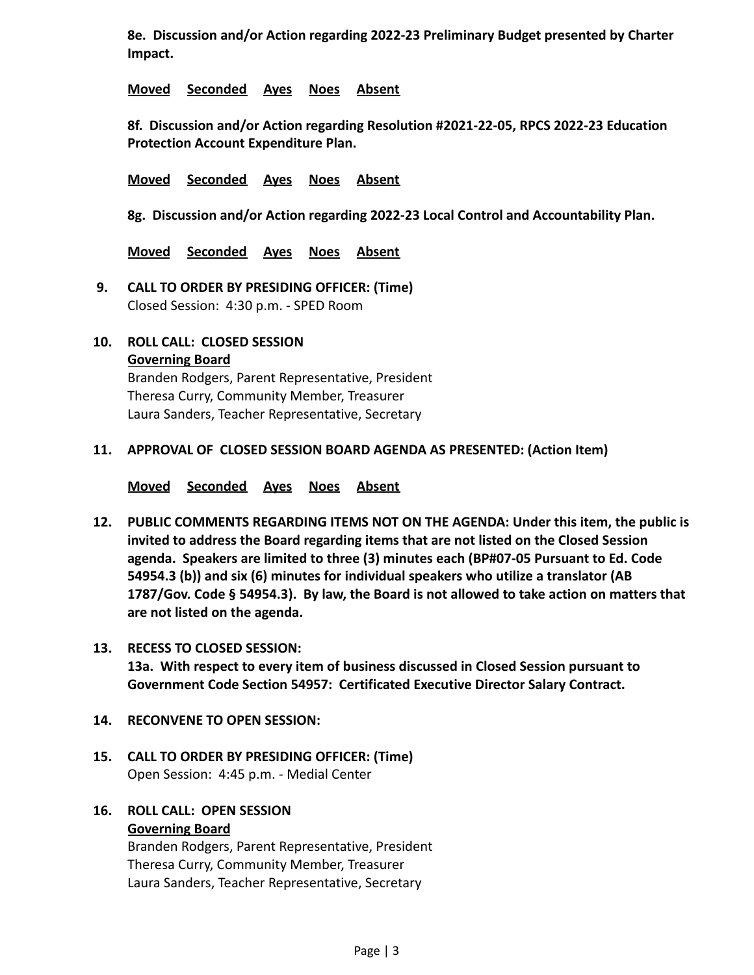**8e. Discussion and/or Action regarding 2022-23 Preliminary Budget presented by Charter Impact.**

**Moved Seconded Ayes Noes Absent**

**8f. Discussion and/or Action regarding Resolution #2021-22-05, RPCS 2022-23 Education Protection Account Expenditure Plan.**

**Moved Seconded Ayes Noes Absent**

**8g. Discussion and/or Action regarding 2022-23 Local Control and Accountability Plan.**

**Moved Seconded Ayes Noes Absent**

- **9. CALL TO ORDER BY PRESIDING OFFICER: (Time)** Closed Session: 4:30 p.m. - SPED Room
- **10. ROLL CALL: CLOSED SESSION Governing Board** Branden Rodgers, Parent Representative, President Theresa Curry, Community Member, Treasurer

Laura Sanders, Teacher Representative, Secretary

## **11. APPROVAL OF CLOSED SESSION BOARD AGENDA AS PRESENTED: (Action Item)**

**Moved Seconded Ayes Noes Absent**

**12. PUBLIC COMMENTS REGARDING ITEMS NOT ON THE AGENDA: Under this item, the public is invited to address the Board regarding items that are not listed on the Closed Session agenda. Speakers are limited to three (3) minutes each (BP#07-05 Pursuant to Ed. Code 54954.3 (b)) and six (6) minutes for individual speakers who utilize a translator (AB 1787/Gov. Code § 54954.3). By law, the Board is not allowed to take action on matters that are not listed on the agenda.**

## **13. RECESS TO CLOSED SESSION: 13a. With respect to every item of business discussed in Closed Session pursuant to Government Code Section 54957: Certificated Executive Director Salary Contract.**

## **14. RECONVENE TO OPEN SESSION:**

**15. CALL TO ORDER BY PRESIDING OFFICER: (Time)** Open Session: 4:45 p.m. - Medial Center

## **16. ROLL CALL: OPEN SESSION**

#### **Governing Board**

Branden Rodgers, Parent Representative, President Theresa Curry, Community Member, Treasurer Laura Sanders, Teacher Representative, Secretary